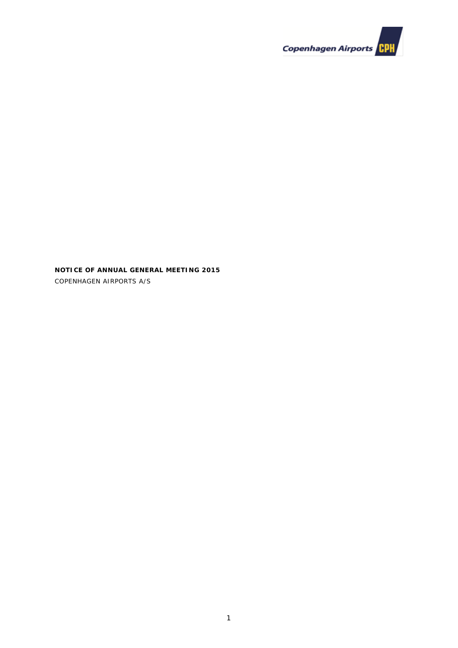

**NOTICE OF ANNUAL GENERAL MEETING 2015** COPENHAGEN AIRPORTS A/S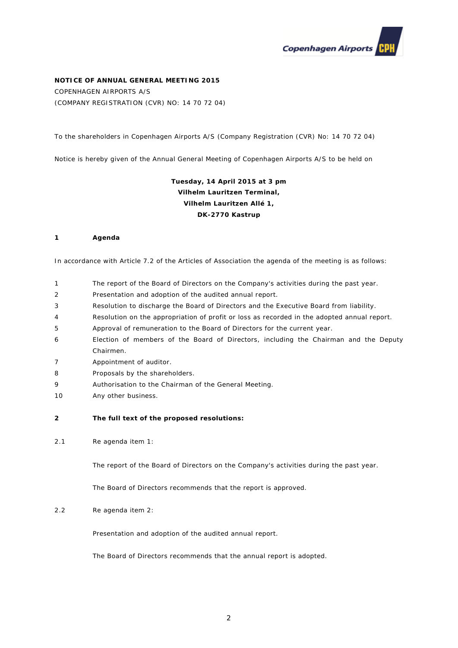

# **NOTICE OF ANNUAL GENERAL MEETING 2015**

COPENHAGEN AIRPORTS A/S (COMPANY REGISTRATION (CVR) NO: 14 70 72 04)

To the shareholders in Copenhagen Airports A/S (Company Registration (CVR) No: 14 70 72 04)

Notice is hereby given of the Annual General Meeting of Copenhagen Airports A/S to be held on

# **Tuesday, 14 April 2015 at 3 pm Vilhelm Lauritzen Terminal, Vilhelm Lauritzen Allé 1, DK-2770 Kastrup**

#### **1 Agenda**

In accordance with Article 7.2 of the Articles of Association the agenda of the meeting is as follows:

- 1 The report of the Board of Directors on the Company's activities during the past year.
- 2 Presentation and adoption of the audited annual report.
- 3 Resolution to discharge the Board of Directors and the Executive Board from liability.
- 4 Resolution on the appropriation of profit or loss as recorded in the adopted annual report.
- 5 Approval of remuneration to the Board of Directors for the current year.
- 6 Election of members of the Board of Directors, including the Chairman and the Deputy Chairmen.
- 7 Appointment of auditor.
- 8 Proposals by the shareholders.
- 9 Authorisation to the Chairman of the General Meeting.
- 10 Any other business.
- **2 The full text of the proposed resolutions:**
- 2.1 Re agenda item 1:

The report of the Board of Directors on the Company's activities during the past year.

The Board of Directors recommends that the report is approved.

### 2.2 Re agenda item 2:

Presentation and adoption of the audited annual report.

The Board of Directors recommends that the annual report is adopted.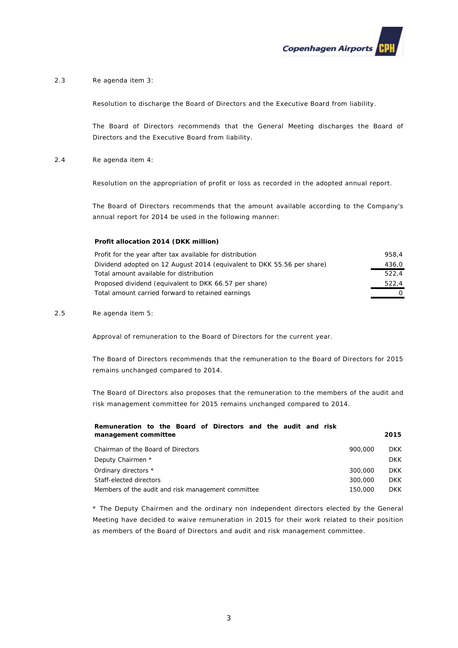

# 2.3 Re agenda item 3:

Resolution to discharge the Board of Directors and the Executive Board from liability.

The Board of Directors recommends that the General Meeting discharges the Board of Directors and the Executive Board from liability.

2.4 Re agenda item 4:

Resolution on the appropriation of profit or loss as recorded in the adopted annual report.

The Board of Directors recommends that the amount available according to the Company's annual report for 2014 be used in the following manner:

#### **Profit allocation 2014 (DKK million)**

| Profit for the year after tax available for distribution               | 958.4 |
|------------------------------------------------------------------------|-------|
| Dividend adopted on 12 August 2014 (equivalent to DKK 55.56 per share) | 436.0 |
| Total amount available for distribution                                | 522.4 |
| Proposed dividend (equivalent to DKK 66.57 per share)                  | 522.4 |
| Total amount carried forward to retained earnings                      |       |

#### 2.5 Re agenda item 5:

Approval of remuneration to the Board of Directors for the current year.

The Board of Directors recommends that the remuneration to the Board of Directors for 2015 remains unchanged compared to 2014.

The Board of Directors also proposes that the remuneration to the members of the audit and risk management committee for 2015 remains unchanged compared to 2014.

#### **Remuneration to the Board of Directors and the audit and risk management committee 2015**

| 900,000 | <b>DKK</b> |
|---------|------------|
|         | DKK.       |
| 300,000 | DKK        |
| 300,000 | <b>DKK</b> |
| 150.000 | DKK        |
|         |            |

\* The Deputy Chairmen and the ordinary non independent directors elected by the General Meeting have decided to waive remuneration in 2015 for their work related to their position as members of the Board of Directors and audit and risk management committee.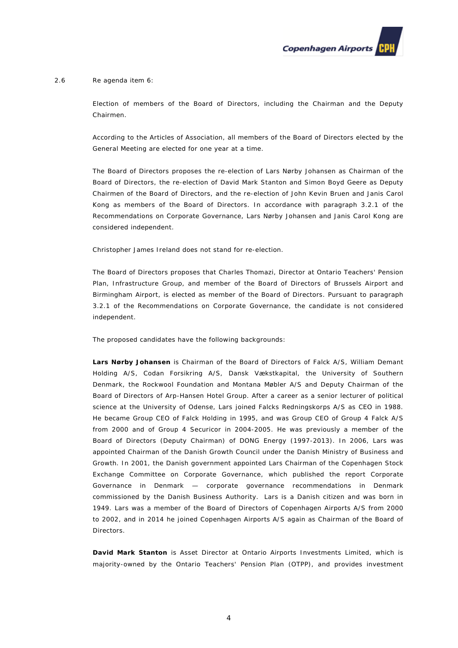

#### 2.6 Re agenda item 6:

Election of members of the Board of Directors, including the Chairman and the Deputy Chairmen.

According to the Articles of Association, all members of the Board of Directors elected by the General Meeting are elected for one year at a time.

The Board of Directors proposes the re-election of Lars Nørby Johansen as Chairman of the Board of Directors, the re-election of David Mark Stanton and Simon Boyd Geere as Deputy Chairmen of the Board of Directors, and the re-election of John Kevin Bruen and Janis Carol Kong as members of the Board of Directors. In accordance with paragraph 3.2.1 of the Recommendations on Corporate Governance, Lars Nørby Johansen and Janis Carol Kong are considered independent.

Christopher James Ireland does not stand for re-election.

The Board of Directors proposes that Charles Thomazi, Director at Ontario Teachers' Pension Plan, Infrastructure Group, and member of the Board of Directors of Brussels Airport and Birmingham Airport, is elected as member of the Board of Directors. Pursuant to paragraph 3.2.1 of the Recommendations on Corporate Governance, the candidate is not considered independent.

The proposed candidates have the following backgrounds:

**Lars Nørby Johansen** is Chairman of the Board of Directors of Falck A/S, William Demant Holding A/S, Codan Forsikring A/S, Dansk Vækstkapital, the University of Southern Denmark, the Rockwool Foundation and Montana Møbler A/S and Deputy Chairman of the Board of Directors of Arp-Hansen Hotel Group. After a career as a senior lecturer of political science at the University of Odense, Lars joined Falcks Redningskorps A/S as CEO in 1988. He became Group CEO of Falck Holding in 1995, and was Group CEO of Group 4 Falck A/S from 2000 and of Group 4 Securicor in 2004-2005. He was previously a member of the Board of Directors (Deputy Chairman) of DONG Energy (1997-2013). In 2006, Lars was appointed Chairman of the Danish Growth Council under the Danish Ministry of Business and Growth. In 2001, the Danish government appointed Lars Chairman of the Copenhagen Stock Exchange Committee on Corporate Governance, which published the report *Corporate Governance in Denmark — corporate governance recommendations in Denmark* commissioned by the Danish Business Authority. Lars is a Danish citizen and was born in 1949. Lars was a member of the Board of Directors of Copenhagen Airports A/S from 2000 to 2002, and in 2014 he joined Copenhagen Airports A/S again as Chairman of the Board of Directors.

**David Mark Stanton** is Asset Director at Ontario Airports Investments Limited, which is majority-owned by the Ontario Teachers' Pension Plan (OTPP), and provides investment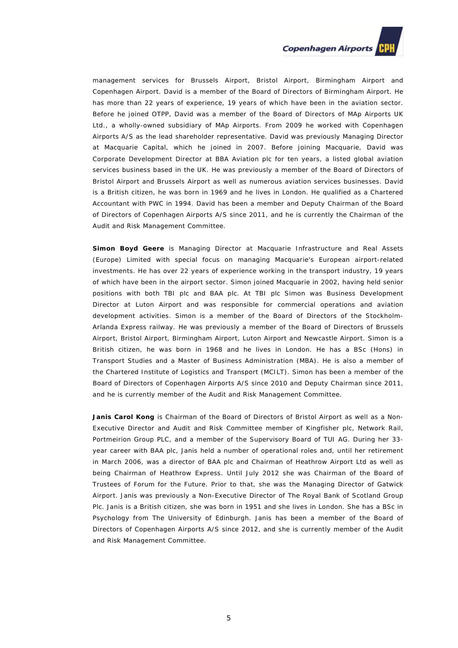# **Copenhagen Airports**

management services for Brussels Airport, Bristol Airport, Birmingham Airport and Copenhagen Airport. David is a member of the Board of Directors of Birmingham Airport. He has more than 22 years of experience, 19 years of which have been in the aviation sector. Before he joined OTPP, David was a member of the Board of Directors of MAp Airports UK Ltd., a wholly-owned subsidiary of MAp Airports. From 2009 he worked with Copenhagen Airports A/S as the lead shareholder representative. David was previously Managing Director at Macquarie Capital, which he joined in 2007. Before joining Macquarie, David was Corporate Development Director at BBA Aviation plc for ten years, a listed global aviation services business based in the UK. He was previously a member of the Board of Directors of Bristol Airport and Brussels Airport as well as numerous aviation services businesses. David is a British citizen, he was born in 1969 and he lives in London. He qualified as a Chartered Accountant with PWC in 1994. David has been a member and Deputy Chairman of the Board of Directors of Copenhagen Airports A/S since 2011, and he is currently the Chairman of the Audit and Risk Management Committee.

**Simon Boyd Geere** is Managing Director at Macquarie Infrastructure and Real Assets (Europe) Limited with special focus on managing Macquarie's European airport-related investments. He has over 22 years of experience working in the transport industry, 19 years of which have been in the airport sector. Simon joined Macquarie in 2002, having held senior positions with both TBI plc and BAA plc. At TBI plc Simon was Business Development Director at Luton Airport and was responsible for commercial operations and aviation development activities. Simon is a member of the Board of Directors of the Stockholm-Arlanda Express railway. He was previously a member of the Board of Directors of Brussels Airport, Bristol Airport, Birmingham Airport, Luton Airport and Newcastle Airport. Simon is a British citizen, he was born in 1968 and he lives in London. He has a BSc (Hons) in Transport Studies and a Master of Business Administration (MBA). He is also a member of the Chartered Institute of Logistics and Transport (MCILT). Simon has been a member of the Board of Directors of Copenhagen Airports A/S since 2010 and Deputy Chairman since 2011, and he is currently member of the Audit and Risk Management Committee.

**Janis Carol Kong** is Chairman of the Board of Directors of Bristol Airport as well as a Non-Executive Director and Audit and Risk Committee member of Kingfisher plc, Network Rail, Portmeirion Group PLC, and a member of the Supervisory Board of TUI AG. During her 33 year career with BAA plc, Janis held a number of operational roles and, until her retirement in March 2006, was a director of BAA plc and Chairman of Heathrow Airport Ltd as well as being Chairman of Heathrow Express. Until July 2012 she was Chairman of the Board of Trustees of Forum for the Future. Prior to that, she was the Managing Director of Gatwick Airport. Janis was previously a Non-Executive Director of The Royal Bank of Scotland Group Plc. Janis is a British citizen, she was born in 1951 and she lives in London. She has a BSc in Psychology from The University of Edinburgh. Janis has been a member of the Board of Directors of Copenhagen Airports A/S since 2012, and she is currently member of the Audit and Risk Management Committee.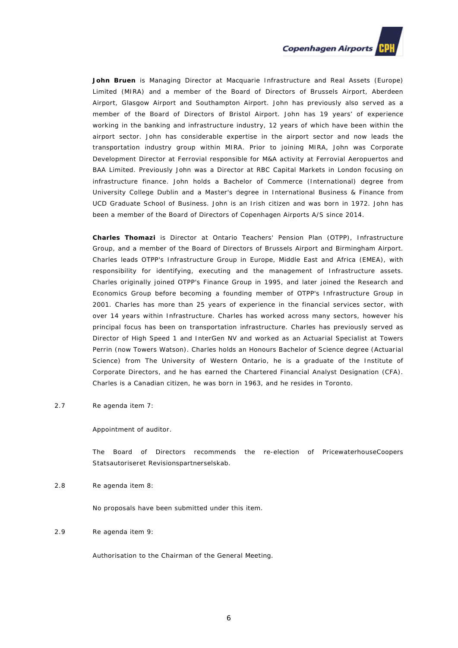

**John Bruen** is Managing Director at Macquarie Infrastructure and Real Assets (Europe) Limited (MIRA) and a member of the Board of Directors of Brussels Airport, Aberdeen Airport, Glasgow Airport and Southampton Airport. John has previously also served as a member of the Board of Directors of Bristol Airport. John has 19 years' of experience working in the banking and infrastructure industry, 12 years of which have been within the airport sector. John has considerable expertise in the airport sector and now leads the transportation industry group within MIRA. Prior to joining MIRA, John was Corporate Development Director at Ferrovial responsible for M&A activity at Ferrovial Aeropuertos and BAA Limited. Previously John was a Director at RBC Capital Markets in London focusing on infrastructure finance. John holds a Bachelor of Commerce (International) degree from University College Dublin and a Master's degree in International Business & Finance from UCD Graduate School of Business. John is an Irish citizen and was born in 1972. John has been a member of the Board of Directors of Copenhagen Airports A/S since 2014.

**Charles Thomazi** is Director at Ontario Teachers' Pension Plan (OTPP), Infrastructure Group, and a member of the Board of Directors of Brussels Airport and Birmingham Airport. Charles leads OTPP's Infrastructure Group in Europe, Middle East and Africa (EMEA), with responsibility for identifying, executing and the management of Infrastructure assets. Charles originally joined OTPP's Finance Group in 1995, and later joined the Research and Economics Group before becoming a founding member of OTPP's Infrastructure Group in 2001. Charles has more than 25 years of experience in the financial services sector, with over 14 years within Infrastructure. Charles has worked across many sectors, however his principal focus has been on transportation infrastructure. Charles has previously served as Director of High Speed 1 and InterGen NV and worked as an Actuarial Specialist at Towers Perrin (now Towers Watson). Charles holds an Honours Bachelor of Science degree (Actuarial Science) from The University of Western Ontario, he is a graduate of the Institute of Corporate Directors, and he has earned the Chartered Financial Analyst Designation (CFA). Charles is a Canadian citizen, he was born in 1963, and he resides in Toronto.

2.7 Re agenda item 7:

Appointment of auditor.

The Board of Directors recommends the re-election of PricewaterhouseCoopers Statsautoriseret Revisionspartnerselskab.

2.8 Re agenda item 8:

No proposals have been submitted under this item.

2.9 Re agenda item 9:

Authorisation to the Chairman of the General Meeting.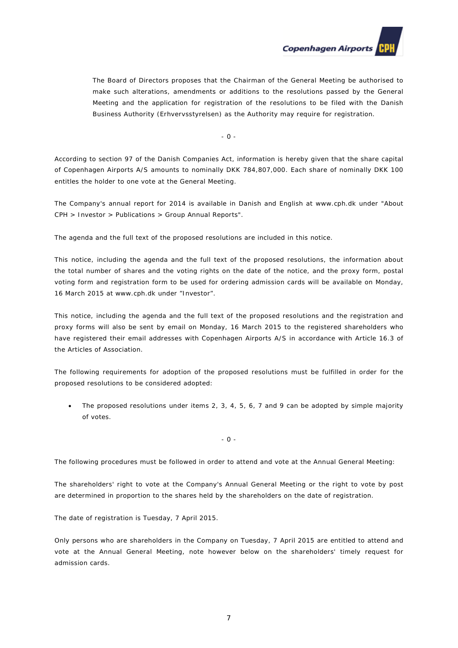

The Board of Directors proposes that the Chairman of the General Meeting be authorised to make such alterations, amendments or additions to the resolutions passed by the General Meeting and the application for registration of the resolutions to be filed with the Danish Business Authority (Erhvervsstyrelsen) as the Authority may require for registration.

- 0 -

According to section 97 of the Danish Companies Act, information is hereby given that the share capital of Copenhagen Airports A/S amounts to nominally DKK 784,807,000. Each share of nominally DKK 100 entitles the holder to one vote at the General Meeting.

The Company's annual report for 2014 is available in Danish and English at [www.cph.d](http://www.cph./)k under "About CPH > Investor > Publications > Group Annual Reports".

The agenda and the full text of the proposed resolutions are included in this notice.

This notice, including the agenda and the full text of the proposed resolutions, the information about the total number of shares and the voting rights on the date of the notice, and the proxy form, postal voting form and registration form to be used for ordering admission cards will be available on Monday, 16 March 2015 at [www.cph.d](http://www.cph./)k under "Investor".

This notice, including the agenda and the full text of the proposed resolutions and the registration and proxy forms will also be sent by email on Monday, 16 March 2015 to the registered shareholders who have registered their email addresses with Copenhagen Airports A/S in accordance with Article 16.3 of the Articles of Association.

The following requirements for adoption of the proposed resolutions must be fulfilled in order for the proposed resolutions to be considered adopted:

• The proposed resolutions under items 2, 3, 4, 5, 6, 7 and 9 can be adopted by simple majority of votes.

- 0 -

The following procedures must be followed in order to attend and vote at the Annual General Meeting:

The shareholders' right to vote at the Company's Annual General Meeting or the right to vote by post are determined in proportion to the shares held by the shareholders on the date of registration.

The date of registration is Tuesday, 7 April 2015.

Only persons who are shareholders in the Company on Tuesday, 7 April 2015 are entitled to attend and vote at the Annual General Meeting, note however below on the shareholders' timely request for admission cards.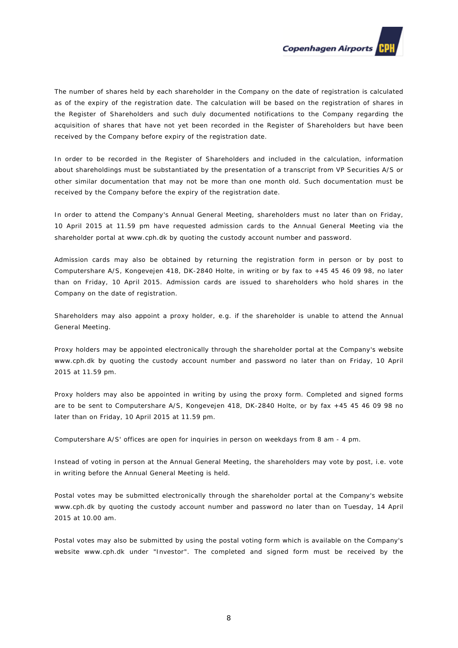

The number of shares held by each shareholder in the Company on the date of registration is calculated as of the expiry of the registration date. The calculation will be based on the registration of shares in the Register of Shareholders and such duly documented notifications to the Company regarding the acquisition of shares that have not yet been recorded in the Register of Shareholders but have been received by the Company before expiry of the registration date.

In order to be recorded in the Register of Shareholders and included in the calculation, information about shareholdings must be substantiated by the presentation of a transcript from VP Securities A/S or other similar documentation that may not be more than one month old. Such documentation must be received by the Company before the expiry of the registration date.

In order to attend the Company's Annual General Meeting, shareholders must no later than on Friday, 10 April 2015 at 11.59 pm have requested admission cards to the Annual General Meeting via the shareholder portal at [www.cph.dk](http://www.cph.dk/) by quoting the custody account number and password.

Admission cards may also be obtained by returning the registration form in person or by post to Computershare A/S, Kongevejen 418, DK-2840 Holte, in writing or by fax to +45 45 46 09 98, no later than on Friday, 10 April 2015. Admission cards are issued to shareholders who hold shares in the Company on the date of registration.

Shareholders may also appoint a proxy holder, e.g. if the shareholder is unable to attend the Annual General Meeting.

Proxy holders may be appointed electronically through the shareholder portal at the Company's website [www.cph.dk](http://www.cph.dk/) by quoting the custody account number and password no later than on Friday, 10 April 2015 at 11.59 pm.

Proxy holders may also be appointed in writing by using the proxy form. Completed and signed forms are to be sent to Computershare A/S, Kongevejen 418, DK-2840 Holte, or by fax +45 45 46 09 98 no later than on Friday, 10 April 2015 at 11.59 pm.

Computershare A/S' offices are open for inquiries in person on weekdays from 8 am - 4 pm.

Instead of voting in person at the Annual General Meeting, the shareholders may vote by post, i.e. vote in writing before the Annual General Meeting is held.

Postal votes may be submitted electronically through the shareholder portal at the Company's website [www.cph.dk](http://www.cph.dk/) by quoting the custody account number and password no later than on Tuesday, 14 April 2015 at 10.00 am.

Postal votes may also be submitted by using the postal voting form which is available on the Company's website [www.cph.dk](http://www.cph.dk/) under "Investor". The completed and signed form must be received by the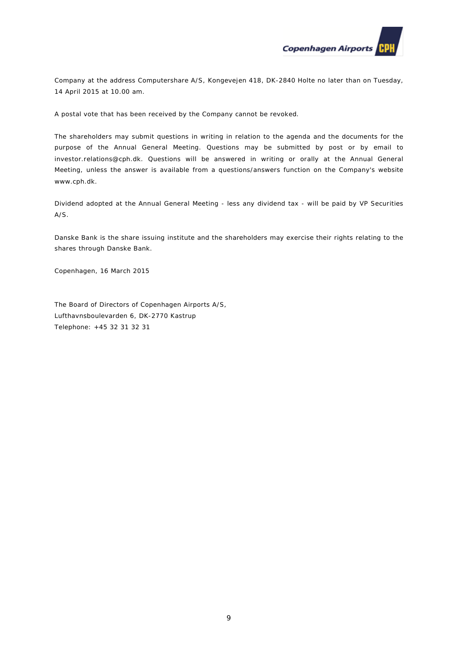

Company at the address Computershare A/S, Kongevejen 418, DK-2840 Holte no later than on Tuesday, 14 April 2015 at 10.00 am.

A postal vote that has been received by the Company cannot be revoked.

The shareholders may submit questions in writing in relation to the agenda and the documents for the purpose of the Annual General Meeting. Questions may be submitted by post or by email to [investor.relations@cph.dk.](mailto:investor.relations@cph.dk) Questions will be answered in writing or orally at the Annual General Meeting, unless the answer is available from a questions/answers function on the Company's website [www.cph.dk.](http://www.cph.dk/)

Dividend adopted at the Annual General Meeting - less any dividend tax - will be paid by VP Securities A/S.

Danske Bank is the share issuing institute and the shareholders may exercise their rights relating to the shares through Danske Bank.

Copenhagen, 16 March 2015

The Board of Directors of Copenhagen Airports A/S, Lufthavnsboulevarden 6, DK-2770 Kastrup Telephone: +45 32 31 32 31